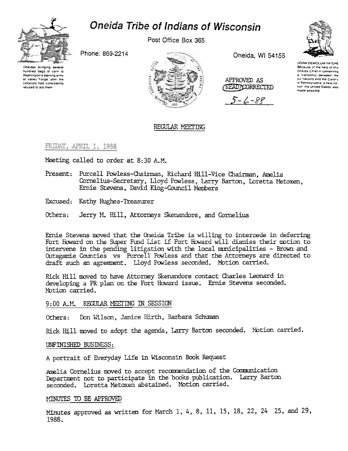

# **Oneida Tribe of Indians of Wisconsin**

Post Office Box 365

Phone: 869-2214





Oneida, WI 54155

APPROVED AS

**READYOORRECTED** 

 $5 - 6 - 88$ 



UGWA DEMOLUM YATEHE Because of the help of this Oneida Chief in cementing a friendship between the Six nations and the Colony of Pennsylvania, a new nation the United States was made possible

## REGULAR MEETING

FRIDAY, APRIL 1, 1988

Meeting called to order at 8:30 A.M.

- Present: Purcell Powless-Chairman, Richard Hill-Vice Chairman, Amelia Cornelius-Secretary, Lloyd Powless, Larry Barton, Loretta Metoxen, Ernie Stevens, David King-Council Members
- Excused: Kathy Hughes-Treasurer
- Others: Jerry M. Hill, Attorneys Skenandore, and Cornelius

Ernie Stevens moved that the Oneida Tribe is willing to intercede in deferring Fort Howard on the Super Fund List if Fort Howard will dismiss their motion to intervene in the pending litigation with the local municipalities - Brown and Outagamie Counties vs Purcell Powless and that the Attorneys are directed to draft such an agreement. Lloyd Powless seconded. Motion carried.

Rick Hill moved to have Attorney Skenandore contact Charles Leonard in developing a PR plan on the Fort Howard issue. Ernie Stevens seconded. Motion carried.

### 9:00 A.M. REGULAR MEETING IN SESSION

Don Wilson, Janice Hirth, Barbara Schuman Others:

Rick Hill moved to adopt the agenda, Larry Barton seconded. Motion carried.

### UNFINISHED BUSINESS:

A portrait of Everyday Life in Wisconsin Book Request

Amelia Cornelius moved to accept recommendation of the Communication Department not to participate in the books publication. Larry Barton seconded. Loretta Metoxen abstained. Motion carried.

### MINUTES TO BE APPROVED

Minutes approved as written for March 1, 4, 8, 11, 15, 18, 22, 24 25, and 29, 1988.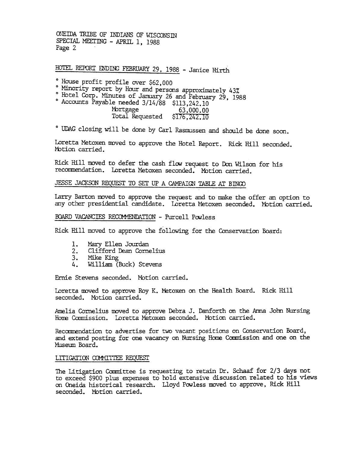ONEIDA TRIBE OF INDIANS OF WISCONSIN SPECIAL MEETING - APRIL 1, 1988 Page 2

HOTEL REPORT ENDING FEBRUARY 29, 1988 - Janice Hirth

0 Minority report by Hour and persons approximately 43%

0 Hotel Corp. Minutes of January 26 and February 29, 1988

0 Accounts Payable needed 3/14/88 \$113,242.10 PDILgage 63,000.000 Total Requested \$176,242.1

° UDAG closing will be done by Carl Rasmussen and should be done soon.

Loretta Metoxen moved to approve the Hotel Report. Rick Hill seconded. Motion carried.

Rick Hill moved to defer the cash flow request to Don Wilson for his recommendation. Loretta Metoxen seconded. Motion carried.

### JESSE JACKSON REQUEST TO SET UP A CAMPAIGN TABLE AT BINGO

Larry Barton moved to approve the request and to make the offer an option to any other presidential candidate. Loretta Metoxen seconded. Motion carried.

BOARD VACANCIES RECOMMENDATION - Purcell Powless

Rick Hill moved to approve the following for the Conservation Board:

- 1.. Mary Ellen Jourdan
- $\frac{2}{3}$ . Clifford Dean Cornelius
- Mike King
- 4. William (Buck) Stevens

Ernie Stevens seconded. Motion carried.

Loretta moved to approve Roy K. Metoxen on the Health Board. Rick Hil seconded. MOtion carried.

Amelia Cornelius moved to approve Debra J. Danforth on the Anna John Nursing Home Commission. Loretta Metoxen seconded. Motion carried.

Recommendation to advertise for two vacant positions on Conservation Board, and extend posting for one vacancy on Nursing Home Commission and one on the fuseum Board.

### LITIGATION COMMITTEE REQUEST

The Litigation Committee is requesting to retain Dr. Schaaf for 2/3 days not to exceed \$900 plus expenses to hold extensive discussion related to his views on Oneida historical research. Lloyd Powless moved to approve, Rick Hill seconded. Motion carried.